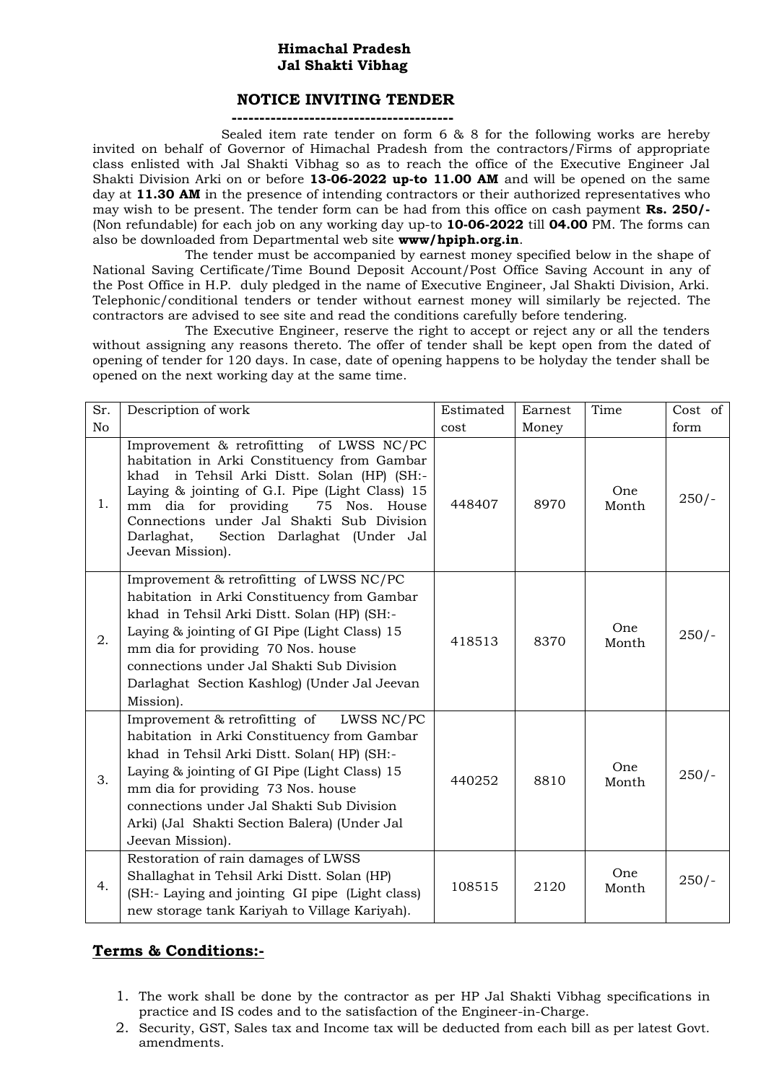## **Himachal Pradesh Jal Shakti Vibhag**

### **NOTICE INVITING TENDER**

**----------------------------------------**

 Sealed item rate tender on form 6 & 8 for the following works are hereby invited on behalf of Governor of Himachal Pradesh from the contractors/Firms of appropriate class enlisted with Jal Shakti Vibhag so as to reach the office of the Executive Engineer Jal Shakti Division Arki on or before **13-06-2022 up-to 11.00 AM** and will be opened on the same day at **11.30 AM** in the presence of intending contractors or their authorized representatives who may wish to be present. The tender form can be had from this office on cash payment **Rs. 250/-** (Non refundable) for each job on any working day up-to **10-06-2022** till **04.00** PM. The forms can also be downloaded from Departmental web site **www/hpiph.org.in**.

The tender must be accompanied by earnest money specified below in the shape of National Saving Certificate/Time Bound Deposit Account/Post Office Saving Account in any of the Post Office in H.P. duly pledged in the name of Executive Engineer, Jal Shakti Division, Arki. Telephonic/conditional tenders or tender without earnest money will similarly be rejected. The contractors are advised to see site and read the conditions carefully before tendering.

The Executive Engineer, reserve the right to accept or reject any or all the tenders without assigning any reasons thereto. The offer of tender shall be kept open from the dated of opening of tender for 120 days. In case, date of opening happens to be holyday the tender shall be opened on the next working day at the same time.

| Sr.            | Description of work                                                                                                                                                                                                                                                                                                                               | Estimated | Earnest | Time          | Cost of |
|----------------|---------------------------------------------------------------------------------------------------------------------------------------------------------------------------------------------------------------------------------------------------------------------------------------------------------------------------------------------------|-----------|---------|---------------|---------|
| N <sub>o</sub> |                                                                                                                                                                                                                                                                                                                                                   | cost      | Money   |               | form    |
| 1.             | Improvement & retrofitting of LWSS NC/PC<br>habitation in Arki Constituency from Gambar<br>khad in Tehsil Arki Distt. Solan (HP) (SH:-<br>Laying & jointing of G.I. Pipe (Light Class) 15<br>mm dia for providing<br>75 Nos. House<br>Connections under Jal Shakti Sub Division<br>Section Darlaghat (Under Jal<br>Darlaghat,<br>Jeevan Mission). | 448407    | 8970    | One.<br>Month | $250/-$ |
| 2.             | Improvement & retrofitting of LWSS NC/PC<br>habitation in Arki Constituency from Gambar<br>khad in Tehsil Arki Distt. Solan (HP) (SH:-<br>Laying & jointing of GI Pipe (Light Class) 15<br>mm dia for providing 70 Nos. house<br>connections under Jal Shakti Sub Division<br>Darlaghat Section Kashlog) (Under Jal Jeevan<br>Mission).           | 418513    | 8370    | One<br>Month  | $250/-$ |
| 3.             | Improvement & retrofitting of<br>LWSS NC/PC<br>habitation in Arki Constituency from Gambar<br>khad in Tehsil Arki Distt. Solan(HP) (SH:-<br>Laying & jointing of GI Pipe (Light Class) 15<br>mm dia for providing 73 Nos. house<br>connections under Jal Shakti Sub Division<br>Arki) (Jal Shakti Section Balera) (Under Jal<br>Jeevan Mission).  | 440252    | 8810    | One<br>Month  | $250/-$ |
| 4.             | Restoration of rain damages of LWSS<br>Shallaghat in Tehsil Arki Distt. Solan (HP)<br>(SH:- Laying and jointing GI pipe (Light class)<br>new storage tank Kariyah to Village Kariyah).                                                                                                                                                            | 108515    | 2120    | One<br>Month  | $250/-$ |

# **Terms & Conditions:-**

- 1. The work shall be done by the contractor as per HP Jal Shakti Vibhag specifications in practice and IS codes and to the satisfaction of the Engineer-in-Charge.
- 2. Security, GST, Sales tax and Income tax will be deducted from each bill as per latest Govt. amendments.